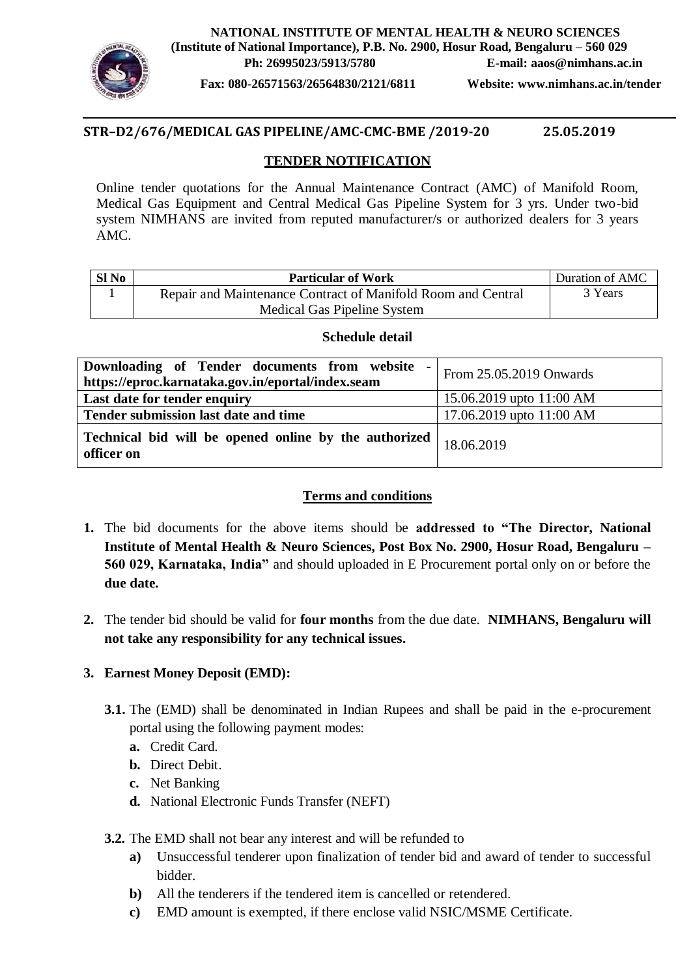

**NATIONAL INSTITUTE OF MENTAL HEALTH & NEURO SCIENCES (Institute of National Importance), P.B. No. 2900, Hosur Road, Bengaluru – 560 029 Ph: 26995023/5913/5780 E-mail: aaos@nimhans.ac.in**

**Fax: 080-26571563/26564830/2121/6811 Website: www.nimhans.ac.in/tender**

## **STR–D2/676/MEDICAL GAS PIPELINE/AMC-CMC-BME /2019-20 25.05.2019**

### **TENDER NOTIFICATION**

Online tender quotations for the Annual Maintenance Contract (AMC) of Manifold Room, Medical Gas Equipment and Central Medical Gas Pipeline System for 3 yrs. Under two-bid system NIMHANS are invited from reputed manufacturer/s or authorized dealers for 3 years AMC.

| $SI$ No | <b>Particular of Work</b>                                    | Duration of AMC |
|---------|--------------------------------------------------------------|-----------------|
|         | Repair and Maintenance Contract of Manifold Room and Central | 3 Years         |
|         | Medical Gas Pipeline System                                  |                 |

## **Schedule detail**

| Downloading of Tender documents from website<br>$\sim$<br>https://eproc.karnataka.gov.in/eportal/index.seam | From 25.05.2019 Onwards  |
|-------------------------------------------------------------------------------------------------------------|--------------------------|
| Last date for tender enquiry                                                                                | 15.06.2019 upto 11:00 AM |
| Tender submission last date and time                                                                        | 17.06.2019 upto 11:00 AM |
| Technical bid will be opened online by the authorized<br>officer on                                         | 18.06.2019               |

# **Terms and conditions**

- **1.** The bid documents for the above items should be **addressed to "The Director, National Institute of Mental Health & Neuro Sciences, Post Box No. 2900, Hosur Road, Bengaluru – 560 029, Karnataka, India"** and should uploaded in E Procurement portal only on or before the **due date.**
- **2.** The tender bid should be valid for **four months** from the due date. **NIMHANS, Bengaluru will not take any responsibility for any technical issues.**

# **3. Earnest Money Deposit (EMD):**

- **3.1.** The (EMD) shall be denominated in Indian Rupees and shall be paid in the e-procurement portal using the following payment modes:
	- **a.** Credit Card.
	- **b.** Direct Debit.
	- **c.** Net Banking
	- **d.** National Electronic Funds Transfer (NEFT)
- **3.2.** The EMD shall not bear any interest and will be refunded to
	- **a)** Unsuccessful tenderer upon finalization of tender bid and award of tender to successful bidder.
	- **b**) All the tenderers if the tendered item is cancelled or retendered.
	- **c)** EMD amount is exempted, if there enclose valid NSIC/MSME Certificate.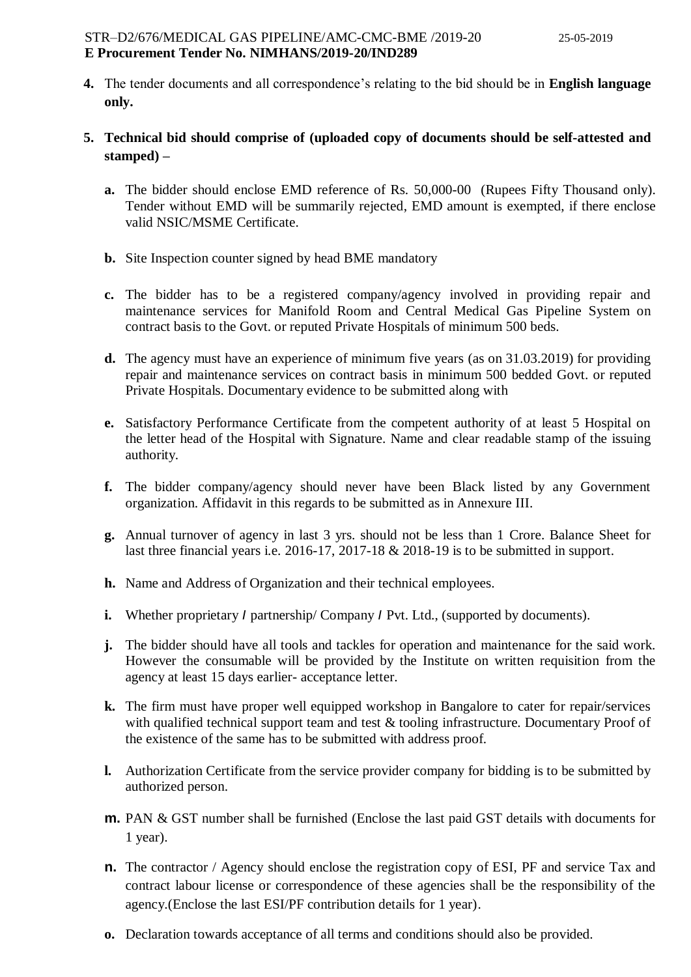- **4.** The tender documents and all correspondence's relating to the bid should be in **English language only.**
- **5. Technical bid should comprise of (uploaded copy of documents should be self-attested and stamped) –**
	- **a.** The bidder should enclose EMD reference of Rs. 50,000-00 (Rupees Fifty Thousand only). Tender without EMD will be summarily rejected, EMD amount is exempted, if there enclose valid NSIC/MSME Certificate.
	- **b.** Site Inspection counter signed by head BME mandatory
	- **c.** The bidder has to be a registered company/agency involved in providing repair and maintenance services for Manifold Room and Central Medical Gas Pipeline System on contract basis to the Govt. or reputed Private Hospitals of minimum 500 beds.
	- **d.** The agency must have an experience of minimum five years (as on 31.03.2019) for providing repair and maintenance services on contract basis in minimum 500 bedded Govt. or reputed Private Hospitals. Documentary evidence to be submitted along with
	- **e.** Satisfactory Performance Certificate from the competent authority of at least 5 Hospital on the letter head of the Hospital with Signature. Name and clear readable stamp of the issuing authority.
	- **f.** The bidder company/agency should never have been Black listed by any Government organization. Affidavit in this regards to be submitted as in Annexure III.
	- **g.** Annual turnover of agency in last 3 yrs. should not be less than 1 Crore. Balance Sheet for last three financial years i.e. 2016-17, 2017-18 & 2018-19 is to be submitted in support.
	- **h.** Name and Address of Organization and their technical employees.
	- **i.** Whether proprietary *I* partnership/ Company *I* Pvt. Ltd., (supported by documents).
	- **j.** The bidder should have all tools and tackles for operation and maintenance for the said work. However the consumable will be provided by the Institute on written requisition from the agency at least 15 days earlier- acceptance letter.
	- **k.** The firm must have proper well equipped workshop in Bangalore to cater for repair/services with qualified technical support team and test & tooling infrastructure. Documentary Proof of the existence of the same has to be submitted with address proof.
	- **l.** Authorization Certificate from the service provider company for bidding is to be submitted by authorized person.
	- **m.** PAN & GST number shall be furnished (Enclose the last paid GST details with documents for 1 year).
	- **n.** The contractor / Agency should enclose the registration copy of ESI, PF and service Tax and contract labour license or correspondence of these agencies shall be the responsibility of the agency.(Enclose the last ESI/PF contribution details for 1 year).
	- **o.** Declaration towards acceptance of all terms and conditions should also be provided.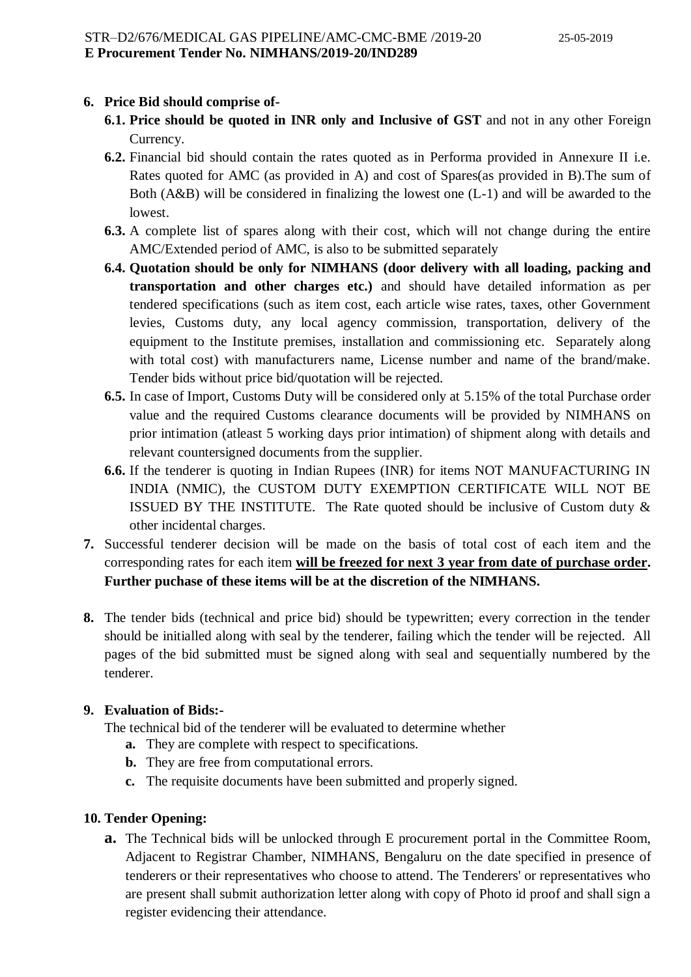# **6. Price Bid should comprise of-**

- **6.1. Price should be quoted in INR only and Inclusive of GST** and not in any other Foreign Currency.
- **6.2.** Financial bid should contain the rates quoted as in Performa provided in Annexure II i.e. Rates quoted for AMC (as provided in A) and cost of Spares(as provided in B).The sum of Both (A&B) will be considered in finalizing the lowest one (L-1) and will be awarded to the lowest.
- **6.3.** A complete list of spares along with their cost, which will not change during the entire AMC/Extended period of AMC, is also to be submitted separately
- **6.4. Quotation should be only for NIMHANS (door delivery with all loading, packing and transportation and other charges etc.)** and should have detailed information as per tendered specifications (such as item cost, each article wise rates, taxes, other Government levies, Customs duty, any local agency commission, transportation, delivery of the equipment to the Institute premises, installation and commissioning etc. Separately along with total cost) with manufacturers name, License number and name of the brand/make. Tender bids without price bid/quotation will be rejected.
- **6.5.** In case of Import, Customs Duty will be considered only at 5.15% of the total Purchase order value and the required Customs clearance documents will be provided by NIMHANS on prior intimation (atleast 5 working days prior intimation) of shipment along with details and relevant countersigned documents from the supplier.
- **6.6.** If the tenderer is quoting in Indian Rupees (INR) for items NOT MANUFACTURING IN INDIA (NMIC), the CUSTOM DUTY EXEMPTION CERTIFICATE WILL NOT BE ISSUED BY THE INSTITUTE. The Rate quoted should be inclusive of Custom duty  $\&$ other incidental charges.
- **7.** Successful tenderer decision will be made on the basis of total cost of each item and the corresponding rates for each item **will be freezed for next 3 year from date of purchase order. Further puchase of these items will be at the discretion of the NIMHANS.**
- **8.** The tender bids (technical and price bid) should be typewritten; every correction in the tender should be initialled along with seal by the tenderer, failing which the tender will be rejected. All pages of the bid submitted must be signed along with seal and sequentially numbered by the tenderer.

#### **9. Evaluation of Bids:-**

The technical bid of the tenderer will be evaluated to determine whether

- **a.** They are complete with respect to specifications.
- **b.** They are free from computational errors.
- **c.** The requisite documents have been submitted and properly signed.

#### **10. Tender Opening:**

**a.** The Technical bids will be unlocked through E procurement portal in the Committee Room, Adjacent to Registrar Chamber, NIMHANS, Bengaluru on the date specified in presence of tenderers or their representatives who choose to attend. The Tenderers' or representatives who are present shall submit authorization letter along with copy of Photo id proof and shall sign a register evidencing their attendance.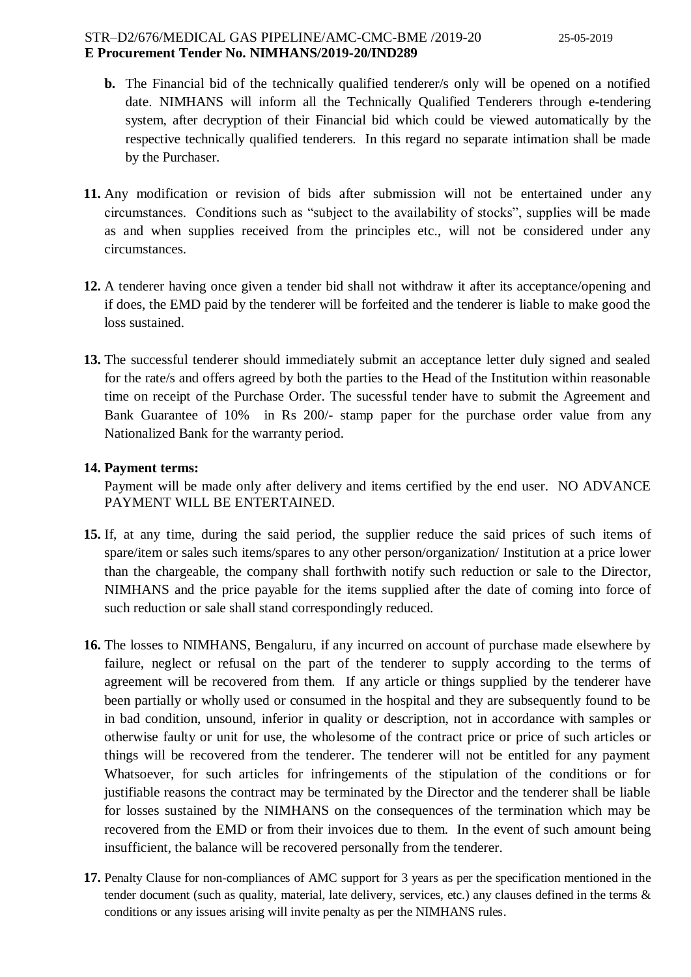- **b.** The Financial bid of the technically qualified tenderer/s only will be opened on a notified date. NIMHANS will inform all the Technically Qualified Tenderers through e-tendering system, after decryption of their Financial bid which could be viewed automatically by the respective technically qualified tenderers. In this regard no separate intimation shall be made by the Purchaser.
- **11.** Any modification or revision of bids after submission will not be entertained under any circumstances. Conditions such as "subject to the availability of stocks", supplies will be made as and when supplies received from the principles etc., will not be considered under any circumstances.
- **12.** A tenderer having once given a tender bid shall not withdraw it after its acceptance/opening and if does, the EMD paid by the tenderer will be forfeited and the tenderer is liable to make good the loss sustained.
- **13.** The successful tenderer should immediately submit an acceptance letter duly signed and sealed for the rate/s and offers agreed by both the parties to the Head of the Institution within reasonable time on receipt of the Purchase Order. The sucessful tender have to submit the Agreement and Bank Guarantee of 10% in Rs 200/- stamp paper for the purchase order value from any Nationalized Bank for the warranty period.

#### **14. Payment terms:**

Payment will be made only after delivery and items certified by the end user. NO ADVANCE PAYMENT WILL BE ENTERTAINED.

- **15.** If, at any time, during the said period, the supplier reduce the said prices of such items of spare/item or sales such items/spares to any other person/organization/ Institution at a price lower than the chargeable, the company shall forthwith notify such reduction or sale to the Director, NIMHANS and the price payable for the items supplied after the date of coming into force of such reduction or sale shall stand correspondingly reduced.
- **16.** The losses to NIMHANS, Bengaluru, if any incurred on account of purchase made elsewhere by failure, neglect or refusal on the part of the tenderer to supply according to the terms of agreement will be recovered from them. If any article or things supplied by the tenderer have been partially or wholly used or consumed in the hospital and they are subsequently found to be in bad condition, unsound, inferior in quality or description, not in accordance with samples or otherwise faulty or unit for use, the wholesome of the contract price or price of such articles or things will be recovered from the tenderer. The tenderer will not be entitled for any payment Whatsoever, for such articles for infringements of the stipulation of the conditions or for justifiable reasons the contract may be terminated by the Director and the tenderer shall be liable for losses sustained by the NIMHANS on the consequences of the termination which may be recovered from the EMD or from their invoices due to them. In the event of such amount being insufficient, the balance will be recovered personally from the tenderer.
- **17.** Penalty Clause for non-compliances of AMC support for 3 years as per the specification mentioned in the tender document (such as quality, material, late delivery, services, etc.) any clauses defined in the terms & conditions or any issues arising will invite penalty as per the NIMHANS rules.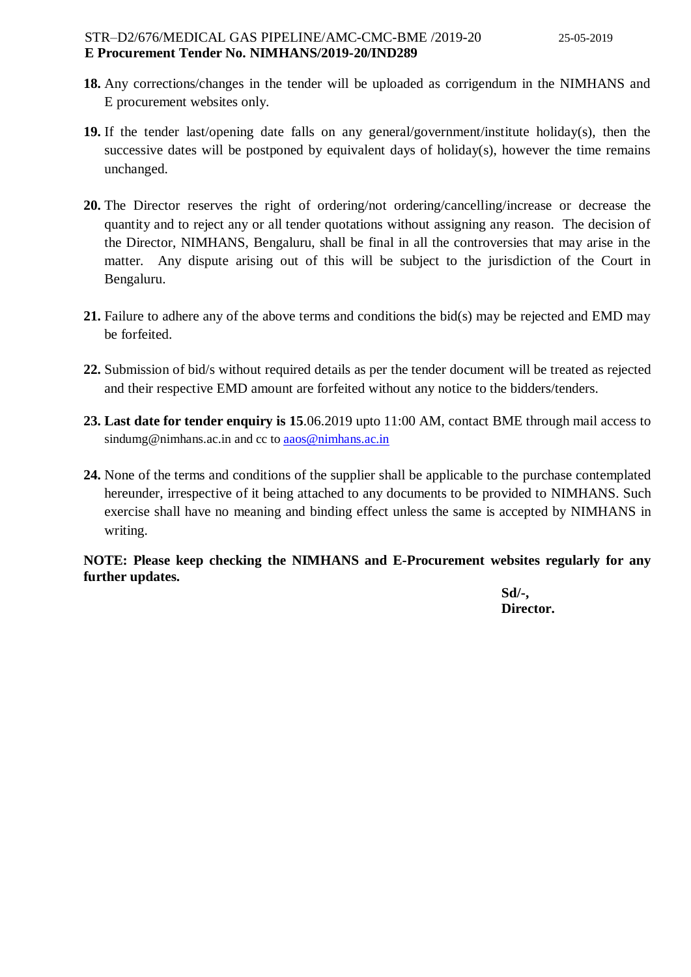- **18.** Any corrections/changes in the tender will be uploaded as corrigendum in the NIMHANS and E procurement websites only.
- **19.** If the tender last/opening date falls on any general/government/institute holiday(s), then the successive dates will be postponed by equivalent days of holiday(s), however the time remains unchanged.
- **20.** The Director reserves the right of ordering/not ordering/cancelling/increase or decrease the quantity and to reject any or all tender quotations without assigning any reason. The decision of the Director, NIMHANS, Bengaluru, shall be final in all the controversies that may arise in the matter. Any dispute arising out of this will be subject to the jurisdiction of the Court in Bengaluru.
- **21.** Failure to adhere any of the above terms and conditions the bid(s) may be rejected and EMD may be forfeited.
- **22.** Submission of bid/s without required details as per the tender document will be treated as rejected and their respective EMD amount are forfeited without any notice to the bidders/tenders.
- **23. Last date for tender enquiry is 15**.06.2019 upto 11:00 AM, contact BME through mail access to sindumg@nimhans.ac.in and cc to [aaos@nimhans.ac.in](mailto:aaos@nimhans.ac.in)
- **24.** None of the terms and conditions of the supplier shall be applicable to the purchase contemplated hereunder, irrespective of it being attached to any documents to be provided to NIMHANS. Such exercise shall have no meaning and binding effect unless the same is accepted by NIMHANS in writing.

**NOTE: Please keep checking the NIMHANS and E-Procurement websites regularly for any further updates.**

> **Sd/-, Director.**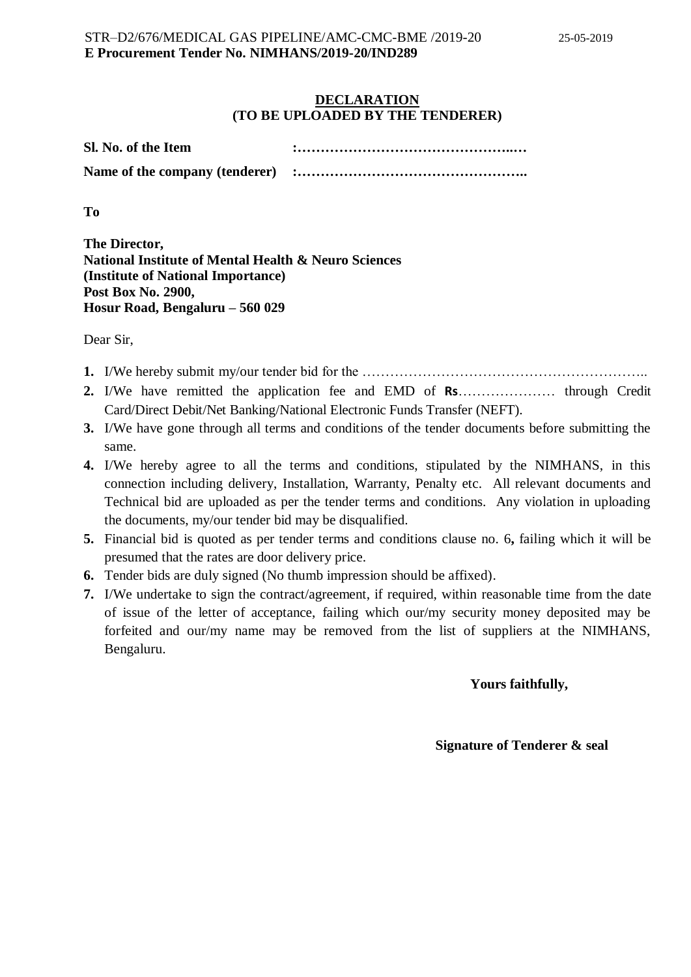#### **DECLARATION (TO BE UPLOADED BY THE TENDERER)**

| Sl. No. of the Item            |  |
|--------------------------------|--|
| Name of the company (tenderer) |  |

**To** 

**The Director, National Institute of Mental Health & Neuro Sciences (Institute of National Importance) Post Box No. 2900, Hosur Road, Bengaluru – 560 029**

Dear Sir,

- **1.** I/We hereby submit my/our tender bid for the ……………………………………………………..
- **2.** I/We have remitted the application fee and EMD of **Rs**………………… through Credit Card/Direct Debit/Net Banking/National Electronic Funds Transfer (NEFT).
- **3.** I/We have gone through all terms and conditions of the tender documents before submitting the same.
- **4.** I/We hereby agree to all the terms and conditions, stipulated by the NIMHANS, in this connection including delivery, Installation, Warranty, Penalty etc. All relevant documents and Technical bid are uploaded as per the tender terms and conditions. Any violation in uploading the documents, my/our tender bid may be disqualified.
- **5.** Financial bid is quoted as per tender terms and conditions clause no. 6**,** failing which it will be presumed that the rates are door delivery price.
- **6.** Tender bids are duly signed (No thumb impression should be affixed).
- **7.** I/We undertake to sign the contract/agreement, if required, within reasonable time from the date of issue of the letter of acceptance, failing which our/my security money deposited may be forfeited and our/my name may be removed from the list of suppliers at the NIMHANS, Bengaluru.

#### **Yours faithfully,**

#### **Signature of Tenderer & seal**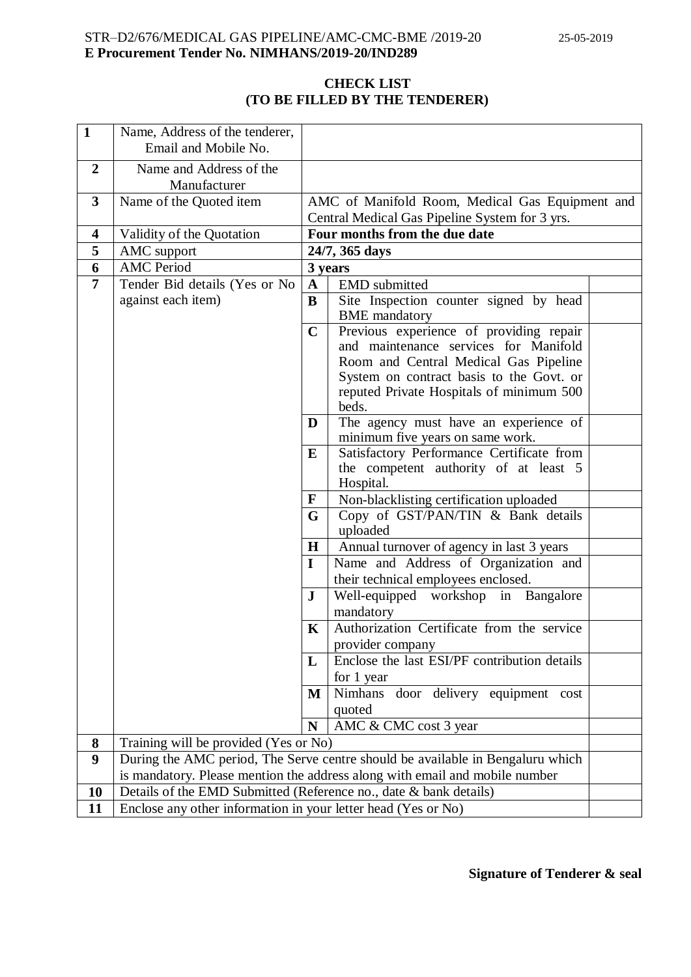# **CHECK LIST (TO BE FILLED BY THE TENDERER)**

| $\mathbf{1}$     | Name, Address of the tenderer,                                    |                                                     |                                                                                 |  |
|------------------|-------------------------------------------------------------------|-----------------------------------------------------|---------------------------------------------------------------------------------|--|
|                  | Email and Mobile No.                                              |                                                     |                                                                                 |  |
| $\overline{2}$   | Name and Address of the                                           |                                                     |                                                                                 |  |
|                  | Manufacturer                                                      |                                                     |                                                                                 |  |
| $\mathbf{3}$     | Name of the Quoted item                                           |                                                     | AMC of Manifold Room, Medical Gas Equipment and                                 |  |
| 4                |                                                                   |                                                     | Central Medical Gas Pipeline System for 3 yrs.<br>Four months from the due date |  |
| 5                | Validity of the Quotation<br>AMC support                          |                                                     | 24/7, 365 days                                                                  |  |
| 6                | <b>AMC</b> Period                                                 |                                                     | 3 years                                                                         |  |
| 7                | Tender Bid details (Yes or No                                     | A                                                   | <b>EMD</b> submitted                                                            |  |
|                  | against each item)                                                | B                                                   | Site Inspection counter signed by head                                          |  |
|                  |                                                                   |                                                     | <b>BME</b> mandatory                                                            |  |
|                  |                                                                   | $\mathbf C$                                         | Previous experience of providing repair                                         |  |
|                  |                                                                   |                                                     | and maintenance services for Manifold                                           |  |
|                  |                                                                   |                                                     | Room and Central Medical Gas Pipeline                                           |  |
|                  |                                                                   |                                                     | System on contract basis to the Govt. or                                        |  |
|                  |                                                                   |                                                     | reputed Private Hospitals of minimum 500                                        |  |
|                  |                                                                   |                                                     | beds.                                                                           |  |
|                  |                                                                   | D                                                   | The agency must have an experience of<br>minimum five years on same work.       |  |
|                  |                                                                   | E                                                   | Satisfactory Performance Certificate from                                       |  |
|                  |                                                                   |                                                     | the competent authority of at least 5                                           |  |
|                  |                                                                   | Hospital.                                           |                                                                                 |  |
|                  |                                                                   | Non-blacklisting certification uploaded<br>F        |                                                                                 |  |
|                  |                                                                   | Copy of GST/PAN/TIN & Bank details<br>G             |                                                                                 |  |
|                  |                                                                   | uploaded                                            |                                                                                 |  |
|                  |                                                                   | $\bf H$                                             | Annual turnover of agency in last 3 years                                       |  |
|                  |                                                                   | Name and Address of Organization and<br>$\mathbf I$ |                                                                                 |  |
|                  |                                                                   |                                                     | their technical employees enclosed.                                             |  |
|                  |                                                                   | ${\bf J}$                                           | Well-equipped workshop in Bangalore                                             |  |
|                  |                                                                   |                                                     | mandatory                                                                       |  |
|                  |                                                                   | $\mathbf K$                                         | Authorization Certificate from the service                                      |  |
|                  |                                                                   |                                                     | provider company<br>Enclose the last ESI/PF contribution details                |  |
|                  |                                                                   | L                                                   | for 1 year                                                                      |  |
|                  |                                                                   | M                                                   | Nimhans<br>door delivery equipment cost                                         |  |
|                  |                                                                   |                                                     | quoted                                                                          |  |
|                  |                                                                   | N                                                   | AMC & CMC cost 3 year                                                           |  |
| 8                | Training will be provided (Yes or No)                             |                                                     |                                                                                 |  |
| $\boldsymbol{9}$ |                                                                   |                                                     | During the AMC period, The Serve centre should be available in Bengaluru which  |  |
|                  |                                                                   |                                                     | is mandatory. Please mention the address along with email and mobile number     |  |
| 10               | Details of the EMD Submitted (Reference no., date & bank details) |                                                     |                                                                                 |  |
| 11               | Enclose any other information in your letter head (Yes or No)     |                                                     |                                                                                 |  |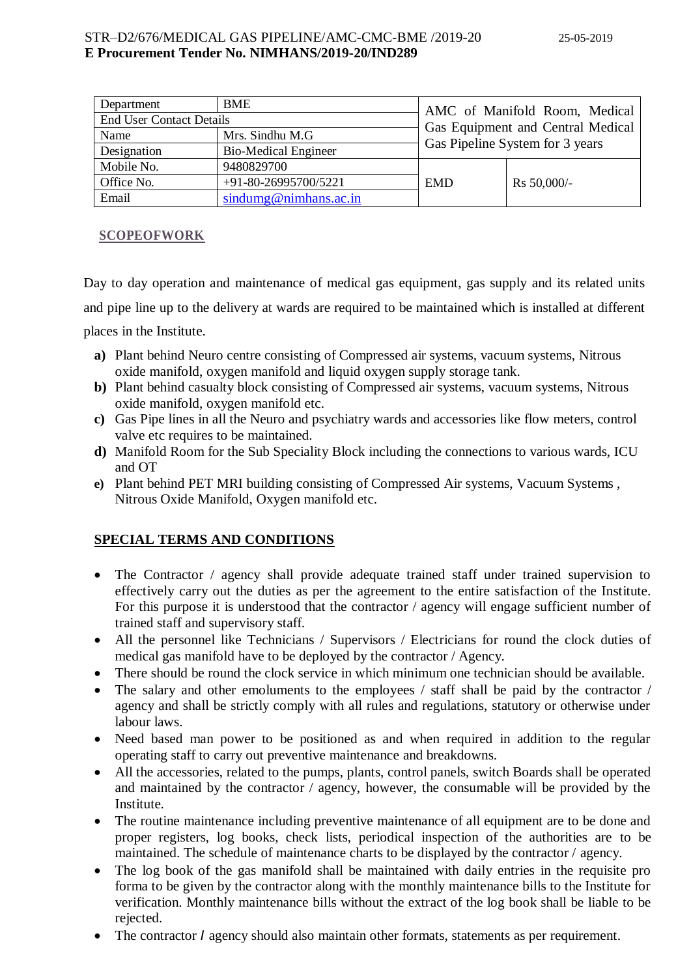| Department                      | <b>BME</b>                  |                                   | AMC of Manifold Room, Medical |
|---------------------------------|-----------------------------|-----------------------------------|-------------------------------|
| <b>End User Contact Details</b> |                             |                                   |                               |
| Name                            | Mrs. Sindhu M.G             | Gas Equipment and Central Medical |                               |
| Designation                     | <b>Bio-Medical Engineer</b> | Gas Pipeline System for 3 years   |                               |
| Mobile No.                      | 9480829700                  |                                   |                               |
| Office No.                      | +91-80-26995700/5221        | <b>EMD</b>                        | Rs 50,000/-                   |
| Email                           | sindumg@nimhans.ac.in       |                                   |                               |

# **SCOPEOFWORK**

Day to day operation and maintenance of medical gas equipment, gas supply and its related units and pipe line up to the delivery at wards are required to be maintained which is installed at different places in the Institute.

- **a)** Plant behind Neuro centre consisting of Compressed air systems, vacuum systems, Nitrous oxide manifold, oxygen manifold and liquid oxygen supply storage tank.
- **b)** Plant behind casualty block consisting of Compressed air systems, vacuum systems, Nitrous oxide manifold, oxygen manifold etc.
- **c)** Gas Pipe lines in all the Neuro and psychiatry wards and accessories like flow meters, control valve etc requires to be maintained.
- **d)** Manifold Room for the Sub Speciality Block including the connections to various wards, ICU and OT
- **e)** Plant behind PET MRI building consisting of Compressed Air systems, Vacuum Systems , Nitrous Oxide Manifold, Oxygen manifold etc.

# **SPECIAL TERMS AND CONDITIONS**

- The Contractor / agency shall provide adequate trained staff under trained supervision to effectively carry out the duties as per the agreement to the entire satisfaction of the Institute. For this purpose it is understood that the contractor / agency will engage sufficient number of trained staff and supervisory staff.
- All the personnel like Technicians / Supervisors / Electricians for round the clock duties of medical gas manifold have to be deployed by the contractor / Agency.
- There should be round the clock service in which minimum one technician should be available.
- The salary and other emoluments to the employees / staff shall be paid by the contractor / agency and shall be strictly comply with all rules and regulations, statutory or otherwise under labour laws.
- Need based man power to be positioned as and when required in addition to the regular operating staff to carry out preventive maintenance and breakdowns.
- All the accessories, related to the pumps, plants, control panels, switch Boards shall be operated and maintained by the contractor / agency, however, the consumable will be provided by the Institute.
- The routine maintenance including preventive maintenance of all equipment are to be done and proper registers, log books, check lists, periodical inspection of the authorities are to be maintained. The schedule of maintenance charts to be displayed by the contractor / agency.
- The log book of the gas manifold shall be maintained with daily entries in the requisite pro forma to be given by the contractor along with the monthly maintenance bills to the Institute for verification. Monthly maintenance bills without the extract of the log book shall be liable to be rejected.
- The contractor *I* agency should also maintain other formats, statements as per requirement.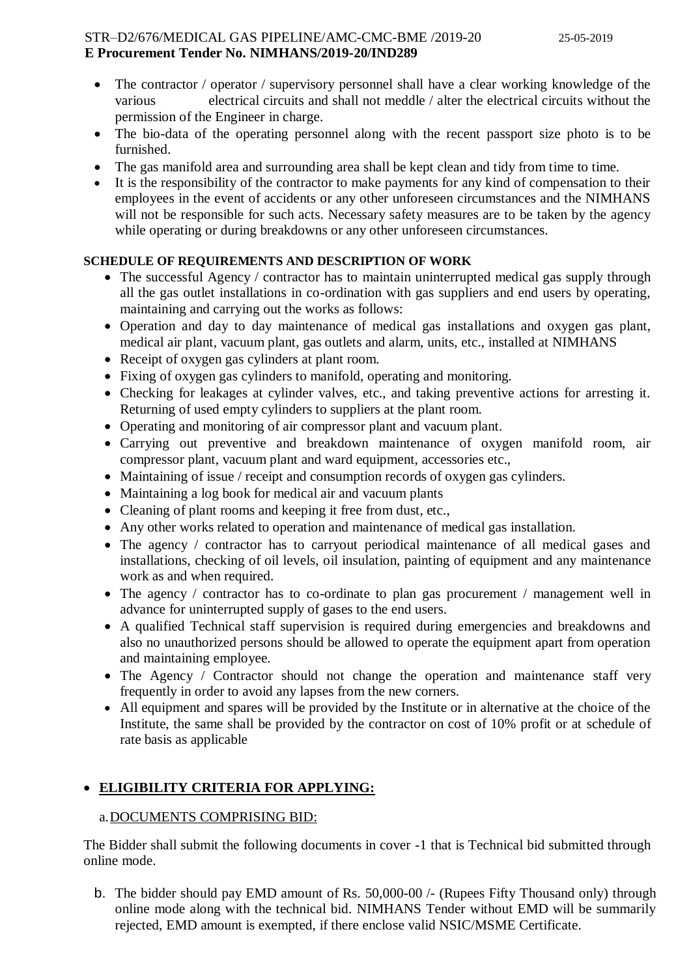- The contractor / operator / supervisory personnel shall have a clear working knowledge of the various electrical circuits and shall not meddle / alter the electrical circuits without the permission of the Engineer in charge.
- The bio-data of the operating personnel along with the recent passport size photo is to be furnished.
- The gas manifold area and surrounding area shall be kept clean and tidy from time to time.
- It is the responsibility of the contractor to make payments for any kind of compensation to their employees in the event of accidents or any other unforeseen circumstances and the NIMHANS will not be responsible for such acts. Necessary safety measures are to be taken by the agency while operating or during breakdowns or any other unforeseen circumstances.

# **SCHEDULE OF REQUIREMENTS AND DESCRIPTION OF WORK**

- The successful Agency / contractor has to maintain uninterrupted medical gas supply through all the gas outlet installations in co-ordination with gas suppliers and end users by operating, maintaining and carrying out the works as follows:
- Operation and day to day maintenance of medical gas installations and oxygen gas plant, medical air plant, vacuum plant, gas outlets and alarm, units, etc., installed at NIMHANS
- Receipt of oxygen gas cylinders at plant room.
- Fixing of oxygen gas cylinders to manifold, operating and monitoring.
- Checking for leakages at cylinder valves, etc., and taking preventive actions for arresting it. Returning of used empty cylinders to suppliers at the plant room.
- Operating and monitoring of air compressor plant and vacuum plant.
- Carrying out preventive and breakdown maintenance of oxygen manifold room, air compressor plant, vacuum plant and ward equipment, accessories etc.,
- Maintaining of issue / receipt and consumption records of oxygen gas cylinders.
- Maintaining a log book for medical air and vacuum plants
- Cleaning of plant rooms and keeping it free from dust, etc.,
- Any other works related to operation and maintenance of medical gas installation.
- The agency / contractor has to carryout periodical maintenance of all medical gases and installations, checking of oil levels, oil insulation, painting of equipment and any maintenance work as and when required.
- The agency / contractor has to co-ordinate to plan gas procurement / management well in advance for uninterrupted supply of gases to the end users.
- A qualified Technical staff supervision is required during emergencies and breakdowns and also no unauthorized persons should be allowed to operate the equipment apart from operation and maintaining employee.
- The Agency / Contractor should not change the operation and maintenance staff very frequently in order to avoid any lapses from the new corners.
- All equipment and spares will be provided by the Institute or in alternative at the choice of the Institute, the same shall be provided by the contractor on cost of 10% profit or at schedule of rate basis as applicable

# **ELIGIBILITY CRITERIA FOR APPLYING:**

# a.DOCUMENTS COMPRISING BID:

The Bidder shall submit the following documents in cover -1 that is Technical bid submitted through online mode.

b. The bidder should pay EMD amount of Rs. 50,000-00 /- (Rupees Fifty Thousand only) through online mode along with the technical bid. NIMHANS Tender without EMD will be summarily rejected, EMD amount is exempted, if there enclose valid NSIC/MSME Certificate.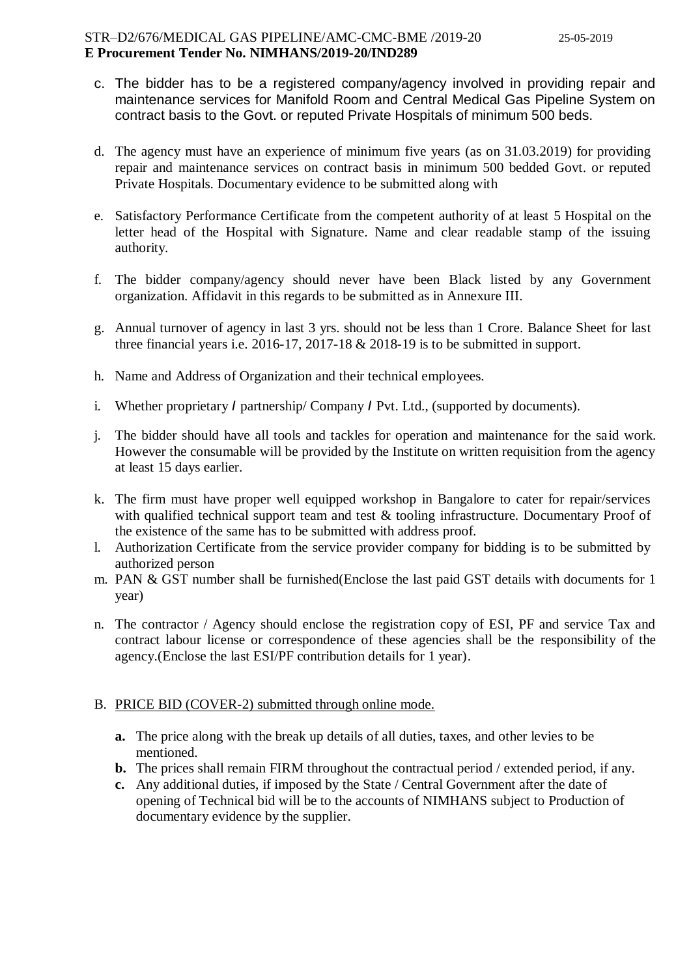- c. The bidder has to be a registered company/agency involved in providing repair and maintenance services for Manifold Room and Central Medical Gas Pipeline System on contract basis to the Govt. or reputed Private Hospitals of minimum 500 beds.
- d. The agency must have an experience of minimum five years (as on 31.03.2019) for providing repair and maintenance services on contract basis in minimum 500 bedded Govt. or reputed Private Hospitals. Documentary evidence to be submitted along with
- e. Satisfactory Performance Certificate from the competent authority of at least 5 Hospital on the letter head of the Hospital with Signature. Name and clear readable stamp of the issuing authority.
- f. The bidder company/agency should never have been Black listed by any Government organization. Affidavit in this regards to be submitted as in Annexure III.
- g. Annual turnover of agency in last 3 yrs. should not be less than 1 Crore. Balance Sheet for last three financial years i.e. 2016-17, 2017-18 & 2018-19 is to be submitted in support.
- h. Name and Address of Organization and their technical employees.
- i. Whether proprietary *I* partnership/ Company *I* Pvt. Ltd., (supported by documents).
- j. The bidder should have all tools and tackles for operation and maintenance for the said work. However the consumable will be provided by the Institute on written requisition from the agency at least 15 days earlier.
- k. The firm must have proper well equipped workshop in Bangalore to cater for repair/services with qualified technical support team and test & tooling infrastructure. Documentary Proof of the existence of the same has to be submitted with address proof.
- l. Authorization Certificate from the service provider company for bidding is to be submitted by authorized person
- m. PAN & GST number shall be furnished(Enclose the last paid GST details with documents for 1 year)
- n. The contractor / Agency should enclose the registration copy of ESI, PF and service Tax and contract labour license or correspondence of these agencies shall be the responsibility of the agency.(Enclose the last ESI/PF contribution details for 1 year).

#### B. PRICE BID (COVER-2) submitted through online mode.

- **a.** The price along with the break up details of all duties, taxes, and other levies to be mentioned.
- **b.** The prices shall remain FIRM throughout the contractual period / extended period, if any.
- **c.** Any additional duties, if imposed by the State / Central Government after the date of opening of Technical bid will be to the accounts of NIMHANS subject to Production of documentary evidence by the supplier.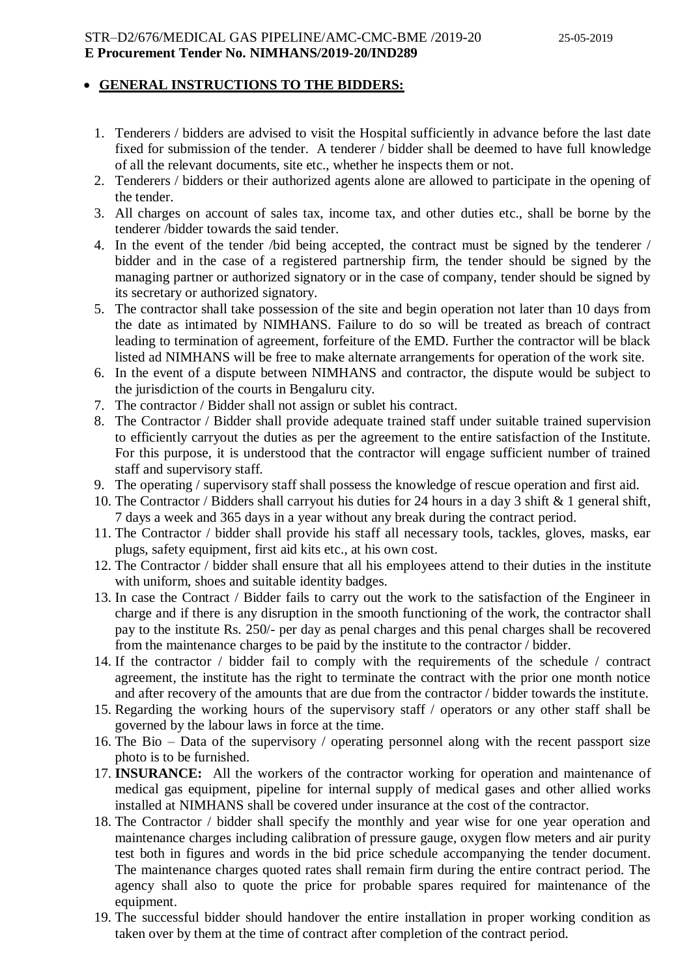## **GENERAL INSTRUCTIONS TO THE BIDDERS:**

- 1. Tenderers / bidders are advised to visit the Hospital sufficiently in advance before the last date fixed for submission of the tender. A tenderer  $\overline{\ }$  bidder shall be deemed to have full knowledge of all the relevant documents, site etc., whether he inspects them or not.
- 2. Tenderers / bidders or their authorized agents alone are allowed to participate in the opening of the tender.
- 3. All charges on account of sales tax, income tax, and other duties etc., shall be borne by the tenderer /bidder towards the said tender.
- 4. In the event of the tender /bid being accepted, the contract must be signed by the tenderer / bidder and in the case of a registered partnership firm, the tender should be signed by the managing partner or authorized signatory or in the case of company, tender should be signed by its secretary or authorized signatory.
- 5. The contractor shall take possession of the site and begin operation not later than 10 days from the date as intimated by NIMHANS. Failure to do so will be treated as breach of contract leading to termination of agreement, forfeiture of the EMD. Further the contractor will be black listed ad NIMHANS will be free to make alternate arrangements for operation of the work site.
- 6. In the event of a dispute between NIMHANS and contractor, the dispute would be subject to the jurisdiction of the courts in Bengaluru city.
- 7. The contractor / Bidder shall not assign or sublet his contract.
- 8. The Contractor / Bidder shall provide adequate trained staff under suitable trained supervision to efficiently carryout the duties as per the agreement to the entire satisfaction of the Institute. For this purpose, it is understood that the contractor will engage sufficient number of trained staff and supervisory staff.
- 9. The operating / supervisory staff shall possess the knowledge of rescue operation and first aid.
- 10. The Contractor / Bidders shall carryout his duties for 24 hours in a day 3 shift & 1 general shift, 7 days a week and 365 days in a year without any break during the contract period.
- 11. The Contractor / bidder shall provide his staff all necessary tools, tackles, gloves, masks, ear plugs, safety equipment, first aid kits etc., at his own cost.
- 12. The Contractor / bidder shall ensure that all his employees attend to their duties in the institute with uniform, shoes and suitable identity badges.
- 13. In case the Contract / Bidder fails to carry out the work to the satisfaction of the Engineer in charge and if there is any disruption in the smooth functioning of the work, the contractor shall pay to the institute Rs. 250/- per day as penal charges and this penal charges shall be recovered from the maintenance charges to be paid by the institute to the contractor  $\check{ }$  bidder.
- 14. If the contractor / bidder fail to comply with the requirements of the schedule / contract agreement, the institute has the right to terminate the contract with the prior one month notice and after recovery of the amounts that are due from the contractor / bidder towards the institute.
- 15. Regarding the working hours of the supervisory staff / operators or any other staff shall be governed by the labour laws in force at the time.
- 16. The Bio Data of the supervisory / operating personnel along with the recent passport size photo is to be furnished.
- 17. **INSURANCE:** All the workers of the contractor working for operation and maintenance of medical gas equipment, pipeline for internal supply of medical gases and other allied works installed at NIMHANS shall be covered under insurance at the cost of the contractor.
- 18. The Contractor / bidder shall specify the monthly and year wise for one year operation and maintenance charges including calibration of pressure gauge, oxygen flow meters and air purity test both in figures and words in the bid price schedule accompanying the tender document. The maintenance charges quoted rates shall remain firm during the entire contract period. The agency shall also to quote the price for probable spares required for maintenance of the equipment.
- 19. The successful bidder should handover the entire installation in proper working condition as taken over by them at the time of contract after completion of the contract period.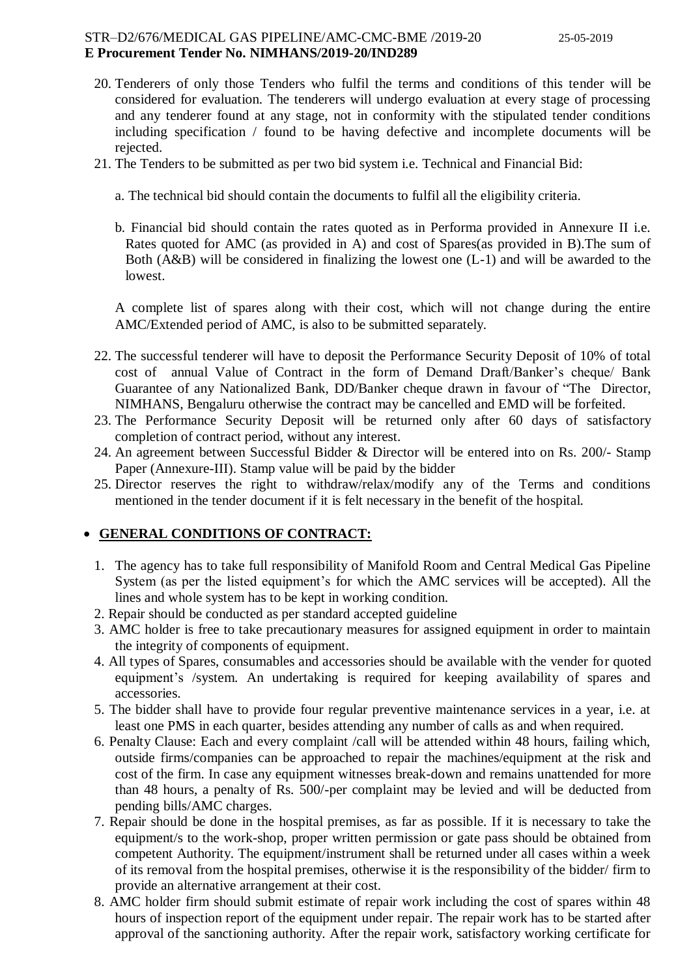- 20. Tenderers of only those Tenders who fulfil the terms and conditions of this tender will be considered for evaluation. The tenderers will undergo evaluation at every stage of processing and any tenderer found at any stage, not in conformity with the stipulated tender conditions including specification / found to be having defective and incomplete documents will be rejected.
- 21. The Tenders to be submitted as per two bid system i.e. Technical and Financial Bid:
	- a. The technical bid should contain the documents to fulfil all the eligibility criteria.
	- b. Financial bid should contain the rates quoted as in Performa provided in Annexure II i.e. Rates quoted for AMC (as provided in A) and cost of Spares(as provided in B).The sum of Both (A&B) will be considered in finalizing the lowest one (L-1) and will be awarded to the lowest.

A complete list of spares along with their cost, which will not change during the entire AMC/Extended period of AMC, is also to be submitted separately.

- 22. The successful tenderer will have to deposit the Performance Security Deposit of 10% of total cost of annual Value of Contract in the form of Demand Draft/Banker's cheque/ Bank Guarantee of any Nationalized Bank, DD/Banker cheque drawn in favour of "The Director, NIMHANS, Bengaluru otherwise the contract may be cancelled and EMD will be forfeited.
- 23. The Performance Security Deposit will be returned only after 60 days of satisfactory completion of contract period, without any interest.
- 24. An agreement between Successful Bidder & Director will be entered into on Rs. 200/- Stamp Paper (Annexure-III). Stamp value will be paid by the bidder
- 25. Director reserves the right to withdraw/relax/modify any of the Terms and conditions mentioned in the tender document if it is felt necessary in the benefit of the hospital.

#### **GENERAL CONDITIONS OF CONTRACT:**

- 1. The agency has to take full responsibility of Manifold Room and Central Medical Gas Pipeline System (as per the listed equipment's for which the AMC services will be accepted). All the lines and whole system has to be kept in working condition.
- 2. Repair should be conducted as per standard accepted guideline
- 3. AMC holder is free to take precautionary measures for assigned equipment in order to maintain the integrity of components of equipment.
- 4. All types of Spares, consumables and accessories should be available with the vender for quoted equipment's /system. An undertaking is required for keeping availability of spares and accessories.
- 5. The bidder shall have to provide four regular preventive maintenance services in a year, i.e. at least one PMS in each quarter, besides attending any number of calls as and when required.
- 6. Penalty Clause: Each and every complaint /call will be attended within 48 hours, failing which, outside firms/companies can be approached to repair the machines/equipment at the risk and cost of the firm. In case any equipment witnesses break-down and remains unattended for more than 48 hours, a penalty of Rs. 500/-per complaint may be levied and will be deducted from pending bills/AMC charges.
- 7. Repair should be done in the hospital premises, as far as possible. If it is necessary to take the equipment/s to the work-shop, proper written permission or gate pass should be obtained from competent Authority. The equipment/instrument shall be returned under all cases within a week of its removal from the hospital premises, otherwise it is the responsibility of the bidder/ firm to provide an alternative arrangement at their cost.
- 8. AMC holder firm should submit estimate of repair work including the cost of spares within 48 hours of inspection report of the equipment under repair. The repair work has to be started after approval of the sanctioning authority. After the repair work, satisfactory working certificate for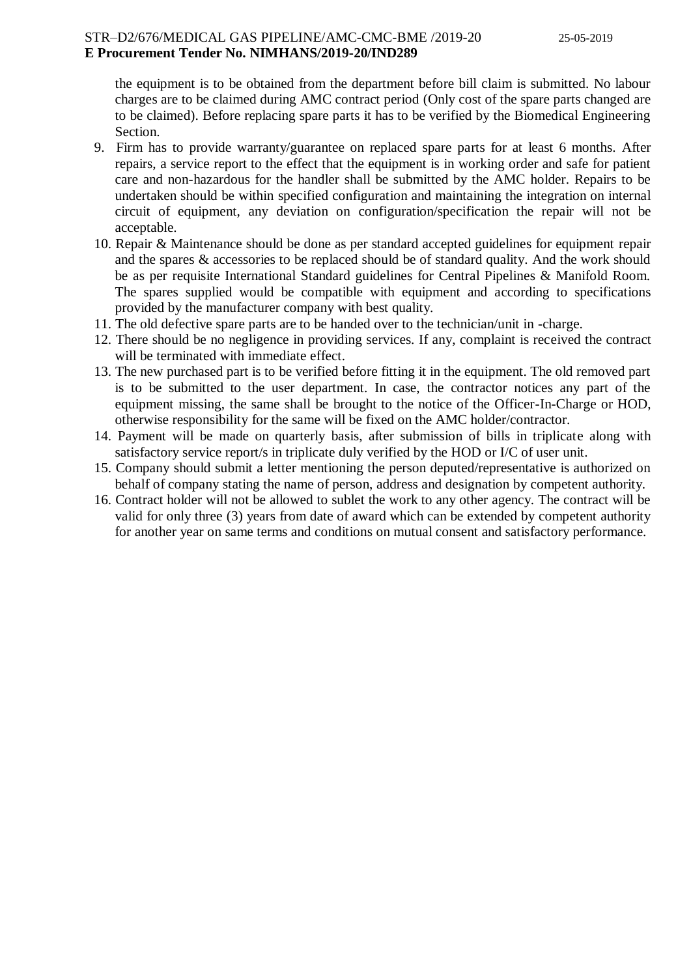the equipment is to be obtained from the department before bill claim is submitted. No labour charges are to be claimed during AMC contract period (Only cost of the spare parts changed are to be claimed). Before replacing spare parts it has to be verified by the Biomedical Engineering Section.

- 9. Firm has to provide warranty/guarantee on replaced spare parts for at least 6 months. After repairs, a service report to the effect that the equipment is in working order and safe for patient care and non-hazardous for the handler shall be submitted by the AMC holder. Repairs to be undertaken should be within specified configuration and maintaining the integration on internal circuit of equipment, any deviation on configuration/specification the repair will not be acceptable.
- 10. Repair & Maintenance should be done as per standard accepted guidelines for equipment repair and the spares & accessories to be replaced should be of standard quality. And the work should be as per requisite International Standard guidelines for Central Pipelines & Manifold Room. The spares supplied would be compatible with equipment and according to specifications provided by the manufacturer company with best quality.
- 11. The old defective spare parts are to be handed over to the technician/unit in -charge.
- 12. There should be no negligence in providing services. If any, complaint is received the contract will be terminated with immediate effect.
- 13. The new purchased part is to be verified before fitting it in the equipment. The old removed part is to be submitted to the user department. In case, the contractor notices any part of the equipment missing, the same shall be brought to the notice of the Officer-In-Charge or HOD, otherwise responsibility for the same will be fixed on the AMC holder/contractor.
- 14. Payment will be made on quarterly basis, after submission of bills in triplicate along with satisfactory service report/s in triplicate duly verified by the HOD or I/C of user unit.
- 15. Company should submit a letter mentioning the person deputed/representative is authorized on behalf of company stating the name of person, address and designation by competent authority.
- 16. Contract holder will not be allowed to sublet the work to any other agency. The contract will be valid for only three (3) years from date of award which can be extended by competent authority for another year on same terms and conditions on mutual consent and satisfactory performance.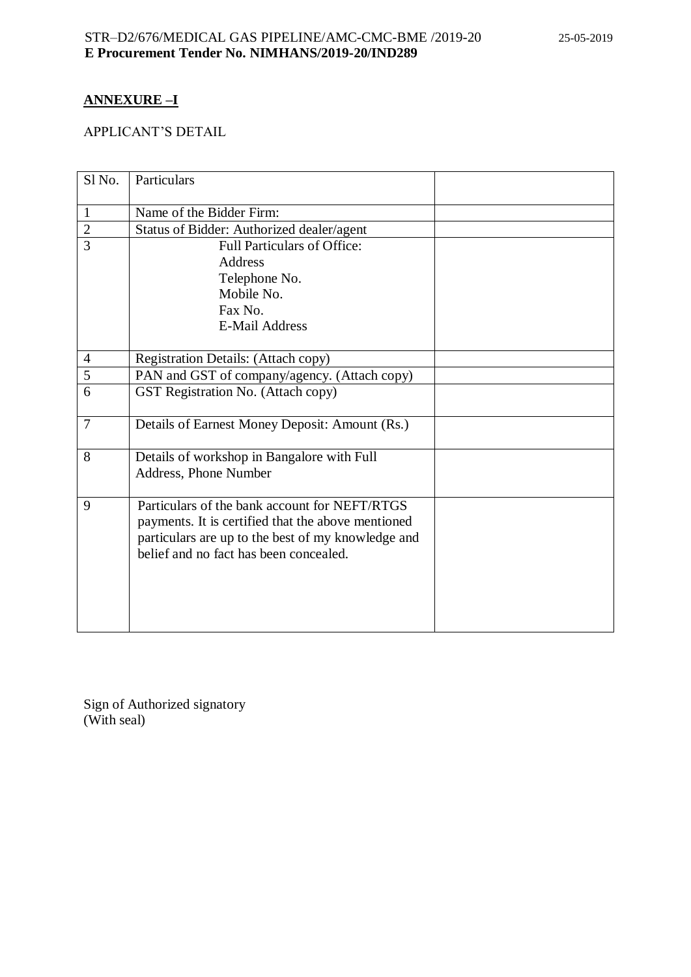# **ANNEXURE –I**

# APPLICANT'S DETAIL

| Sl <sub>No.</sub> | Particulars                                        |  |
|-------------------|----------------------------------------------------|--|
| $\mathbf{1}$      | Name of the Bidder Firm:                           |  |
| $\mathbf{2}$      | Status of Bidder: Authorized dealer/agent          |  |
| 3                 | <b>Full Particulars of Office:</b>                 |  |
|                   | <b>Address</b>                                     |  |
|                   | Telephone No.                                      |  |
|                   | Mobile No.                                         |  |
|                   | Fax No.                                            |  |
|                   | <b>E-Mail Address</b>                              |  |
|                   |                                                    |  |
| $\overline{4}$    | Registration Details: (Attach copy)                |  |
| 5                 | PAN and GST of company/agency. (Attach copy)       |  |
| 6                 | GST Registration No. (Attach copy)                 |  |
|                   |                                                    |  |
| $\overline{7}$    | Details of Earnest Money Deposit: Amount (Rs.)     |  |
| 8                 | Details of workshop in Bangalore with Full         |  |
|                   | Address, Phone Number                              |  |
|                   |                                                    |  |
| 9                 | Particulars of the bank account for NEFT/RTGS      |  |
|                   | payments. It is certified that the above mentioned |  |
|                   | particulars are up to the best of my knowledge and |  |
|                   | belief and no fact has been concealed.             |  |
|                   |                                                    |  |
|                   |                                                    |  |
|                   |                                                    |  |
|                   |                                                    |  |
|                   |                                                    |  |

Sign of Authorized signatory (With seal)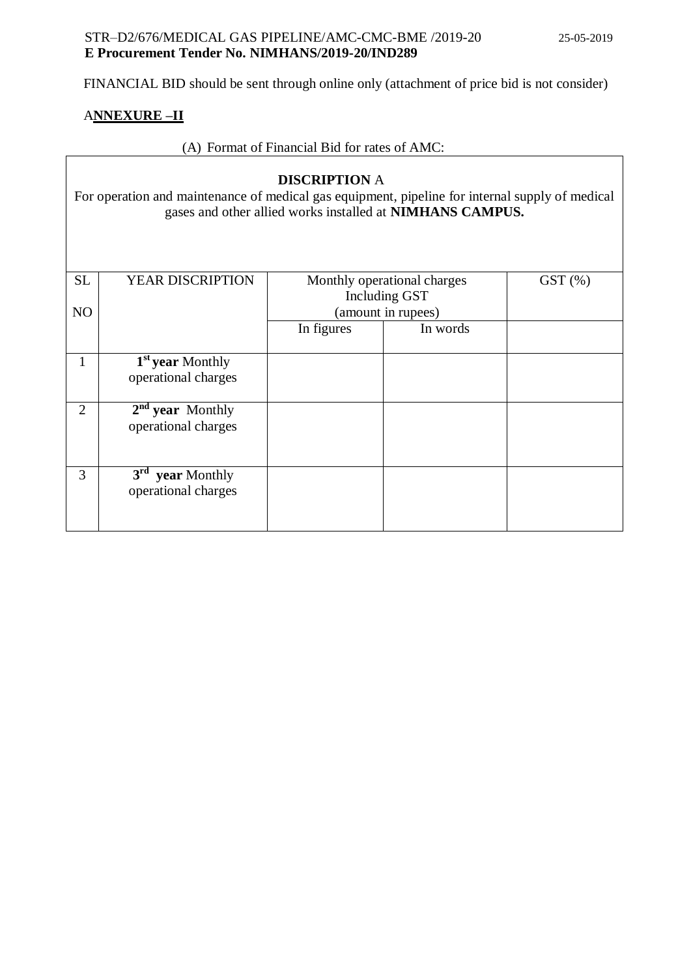$\overline{\mathsf{I}}$ 

FINANCIAL BID should be sent through online only (attachment of price bid is not consider)

## A**NNEXURE –II**

# (A) Format of Financial Bid for rates of AMC:

| <b>DISCRIPTION A</b><br>For operation and maintenance of medical gas equipment, pipeline for internal supply of medical<br>gases and other allied works installed at NIMHANS CAMPUS. |                                 |            |                             |           |  |
|--------------------------------------------------------------------------------------------------------------------------------------------------------------------------------------|---------------------------------|------------|-----------------------------|-----------|--|
| <b>SL</b>                                                                                                                                                                            | YEAR DISCRIPTION                |            | Monthly operational charges | $GST$ $%$ |  |
|                                                                                                                                                                                      |                                 |            | Including GST               |           |  |
| N <sub>O</sub>                                                                                                                                                                       |                                 |            | (amount in rupees)          |           |  |
|                                                                                                                                                                                      |                                 | In figures | In words                    |           |  |
|                                                                                                                                                                                      |                                 |            |                             |           |  |
| 1                                                                                                                                                                                    | 1 <sup>st</sup> year Monthly    |            |                             |           |  |
|                                                                                                                                                                                      | operational charges             |            |                             |           |  |
| $\overline{2}$                                                                                                                                                                       | $2nd$ year Monthly              |            |                             |           |  |
|                                                                                                                                                                                      | operational charges             |            |                             |           |  |
| 3                                                                                                                                                                                    | 3 <sup>rd</sup><br>year Monthly |            |                             |           |  |
|                                                                                                                                                                                      | operational charges             |            |                             |           |  |
|                                                                                                                                                                                      |                                 |            |                             |           |  |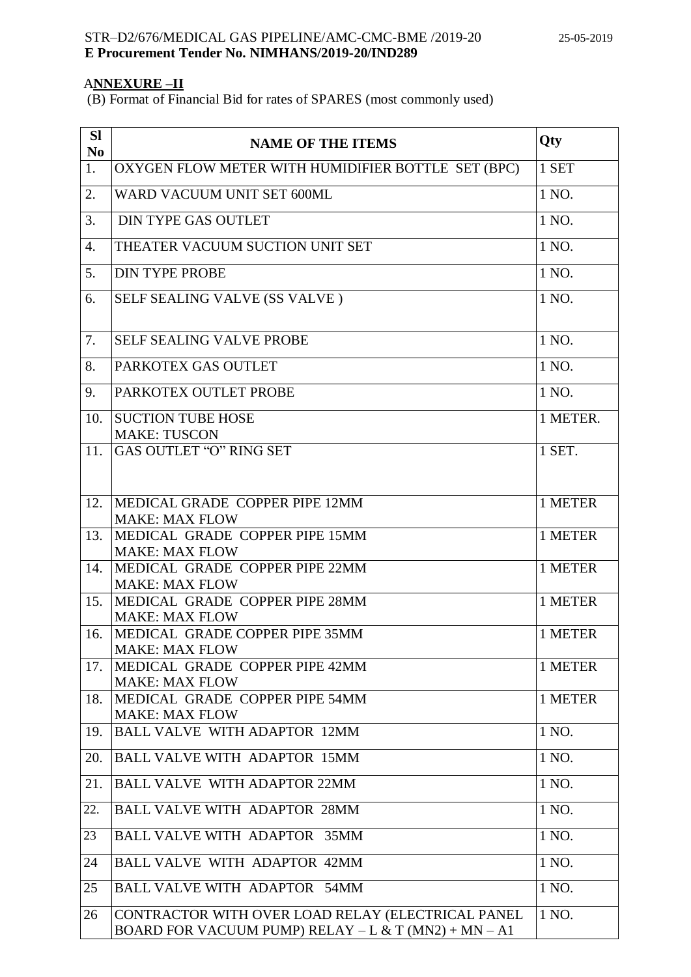# A**NNEXURE –II**

(B) Format of Financial Bid for rates of SPARES (most commonly used)

| <b>SI</b><br>N <sub>0</sub> | <b>NAME OF THE ITEMS</b>                                                                                  | Qty      |
|-----------------------------|-----------------------------------------------------------------------------------------------------------|----------|
| 1.                          | OXYGEN FLOW METER WITH HUMIDIFIER BOTTLE SET (BPC)                                                        | 1 SET    |
| 2.                          | WARD VACUUM UNIT SET 600ML                                                                                | 1 NO.    |
| 3.                          | <b>DIN TYPE GAS OUTLET</b>                                                                                | 1 NO.    |
| 4.                          | THEATER VACUUM SUCTION UNIT SET                                                                           | 1 NO.    |
| 5.                          | <b>DIN TYPE PROBE</b>                                                                                     | 1 NO.    |
| 6.                          | SELF SEALING VALVE (SS VALVE)                                                                             | 1 NO.    |
| 7.                          | <b>SELF SEALING VALVE PROBE</b>                                                                           | 1 NO.    |
| 8.                          | PARKOTEX GAS OUTLET                                                                                       | 1 NO.    |
| 9.                          | PARKOTEX OUTLET PROBE                                                                                     | 1 NO.    |
| 10.                         | <b>SUCTION TUBE HOSE</b><br><b>MAKE: TUSCON</b>                                                           | 1 METER. |
| 11.                         | GAS OUTLET "O" RING SET                                                                                   | 1 SET.   |
| 12.                         | MEDICAL GRADE COPPER PIPE 12MM                                                                            | 1 METER  |
| 13.                         | <b>MAKE: MAX FLOW</b><br>MEDICAL GRADE COPPER PIPE 15MM<br><b>MAKE: MAX FLOW</b>                          | 1 METER  |
| 14.                         | MEDICAL GRADE COPPER PIPE 22MM                                                                            | 1 METER  |
| 15.                         | <b>MAKE: MAX FLOW</b><br>MEDICAL GRADE COPPER PIPE 28MM                                                   | 1 METER  |
| 16.                         | <b>MAKE: MAX FLOW</b><br>MEDICAL GRADE COPPER PIPE 35MM                                                   | 1 METER  |
| 17.                         | <b>MAKE: MAX FLOW</b><br>MEDICAL GRADE COPPER PIPE 42MM<br><b>MAKE: MAX FLOW</b>                          | 1 METER  |
| 18.                         | MEDICAL GRADE COPPER PIPE 54MM<br><b>MAKE: MAX FLOW</b>                                                   | 1 METER  |
| 19.                         | <b>BALL VALVE WITH ADAPTOR 12MM</b>                                                                       | 1 NO.    |
| 20.                         | <b>BALL VALVE WITH ADAPTOR 15MM</b>                                                                       | 1 NO.    |
| 21.                         | <b>BALL VALVE WITH ADAPTOR 22MM</b>                                                                       | 1 NO.    |
| 22.                         | <b>BALL VALVE WITH ADAPTOR 28MM</b>                                                                       | 1 NO.    |
| 23                          | <b>BALL VALVE WITH ADAPTOR 35MM</b>                                                                       | 1 NO.    |
| 24                          | <b>BALL VALVE WITH ADAPTOR 42MM</b>                                                                       | 1 NO.    |
| 25                          | <b>BALL VALVE WITH ADAPTOR 54MM</b>                                                                       | 1 NO.    |
| 26                          | CONTRACTOR WITH OVER LOAD RELAY (ELECTRICAL PANEL<br>BOARD FOR VACUUM PUMP) RELAY - L & T (MN2) + MN - A1 | 1 NO.    |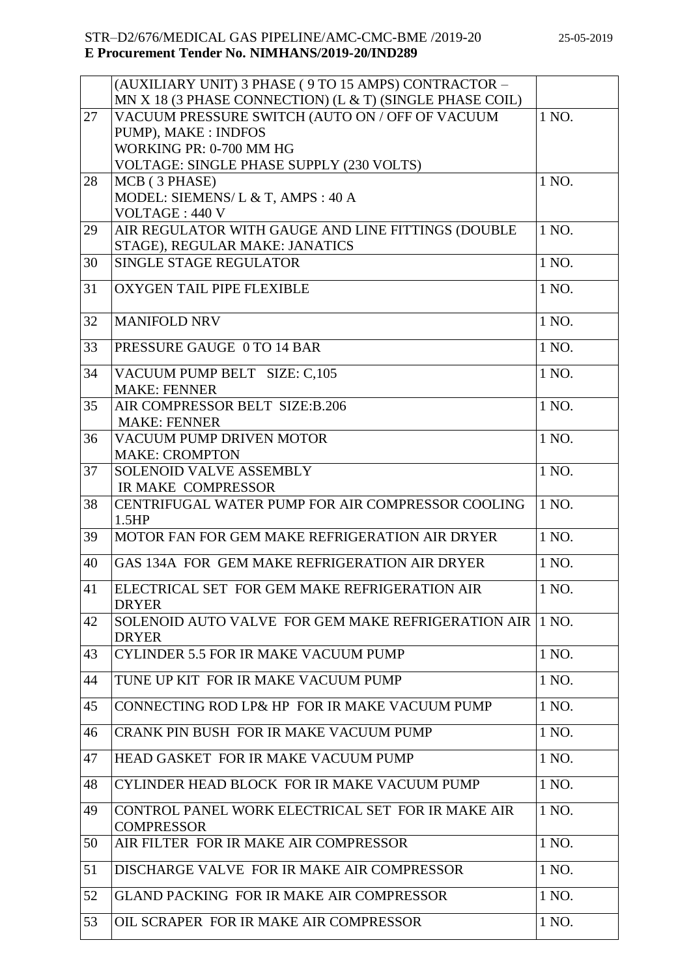|    | (AUXILIARY UNIT) 3 PHASE ( 9 TO 15 AMPS) CONTRACTOR -    |       |
|----|----------------------------------------------------------|-------|
|    | MN X 18 (3 PHASE CONNECTION) (L & T) (SINGLE PHASE COIL) |       |
| 27 | VACUUM PRESSURE SWITCH (AUTO ON / OFF OF VACUUM          | 1 NO. |
|    | PUMP), MAKE : INDFOS                                     |       |
|    | WORKING PR: 0-700 MM HG                                  |       |
|    | VOLTAGE: SINGLE PHASE SUPPLY (230 VOLTS)                 |       |
| 28 | MCB (3 PHASE)                                            | 1 NO. |
|    | MODEL: SIEMENS/ L & T, AMPS : 40 A                       |       |
|    | <b>VOLTAGE: 440 V</b>                                    |       |
| 29 | AIR REGULATOR WITH GAUGE AND LINE FITTINGS (DOUBLE       | 1 NO. |
|    | STAGE), REGULAR MAKE: JANATICS                           |       |
| 30 | SINGLE STAGE REGULATOR                                   | 1 NO. |
| 31 | OXYGEN TAIL PIPE FLEXIBLE                                | 1 NO. |
|    |                                                          |       |
| 32 | <b>MANIFOLD NRV</b>                                      | 1 NO. |
|    |                                                          |       |
| 33 | PRESSURE GAUGE 0 TO 14 BAR                               | 1 NO. |
| 34 | VACUUM PUMP BELT SIZE: C,105                             | 1 NO. |
|    | <b>MAKE: FENNER</b>                                      |       |
| 35 | AIR COMPRESSOR BELT SIZE:B.206                           | 1 NO. |
|    | <b>MAKE: FENNER</b>                                      |       |
| 36 | VACUUM PUMP DRIVEN MOTOR                                 | 1 NO. |
|    | <b>MAKE: CROMPTON</b>                                    |       |
| 37 | <b>SOLENOID VALVE ASSEMBLY</b>                           | 1 NO. |
|    | IR MAKE COMPRESSOR                                       |       |
| 38 | CENTRIFUGAL WATER PUMP FOR AIR COMPRESSOR COOLING        | 1 NO. |
|    | 1.5HP                                                    |       |
| 39 | MOTOR FAN FOR GEM MAKE REFRIGERATION AIR DRYER           | 1 NO. |
|    |                                                          |       |
| 40 | GAS 134A FOR GEM MAKE REFRIGERATION AIR DRYER            | 1 NO. |
| 41 | ELECTRICAL SET FOR GEM MAKE REFRIGERATION AIR            | 1 NO. |
|    | <b>DRYER</b>                                             |       |
| 42 | SOLENOID AUTO VALVE FOR GEM MAKE REFRIGERATION AIR       | 1 NO. |
|    | <b>DRYER</b>                                             |       |
| 43 | CYLINDER 5.5 FOR IR MAKE VACUUM PUMP                     | 1 NO. |
|    | TUNE UP KIT FOR IR MAKE VACUUM PUMP                      | 1 NO. |
| 44 |                                                          |       |
| 45 | CONNECTING ROD LP& HP FOR IR MAKE VACUUM PUMP            | 1 NO. |
|    |                                                          |       |
| 46 | CRANK PIN BUSH FOR IR MAKE VACUUM PUMP                   | 1 NO. |
| 47 | HEAD GASKET FOR IR MAKE VACUUM PUMP                      | 1 NO. |
| 48 | CYLINDER HEAD BLOCK FOR IR MAKE VACUUM PUMP              | 1 NO. |
|    |                                                          |       |
| 49 | CONTROL PANEL WORK ELECTRICAL SET FOR IR MAKE AIR        | 1 NO. |
|    | <b>COMPRESSOR</b>                                        |       |
| 50 | AIR FILTER FOR IR MAKE AIR COMPRESSOR                    | 1 NO. |
| 51 | DISCHARGE VALVE FOR IR MAKE AIR COMPRESSOR               | 1 NO. |
|    |                                                          |       |
| 52 | GLAND PACKING FOR IR MAKE AIR COMPRESSOR                 | 1 NO. |
| 53 | OIL SCRAPER FOR IR MAKE AIR COMPRESSOR                   | 1 NO. |
|    |                                                          |       |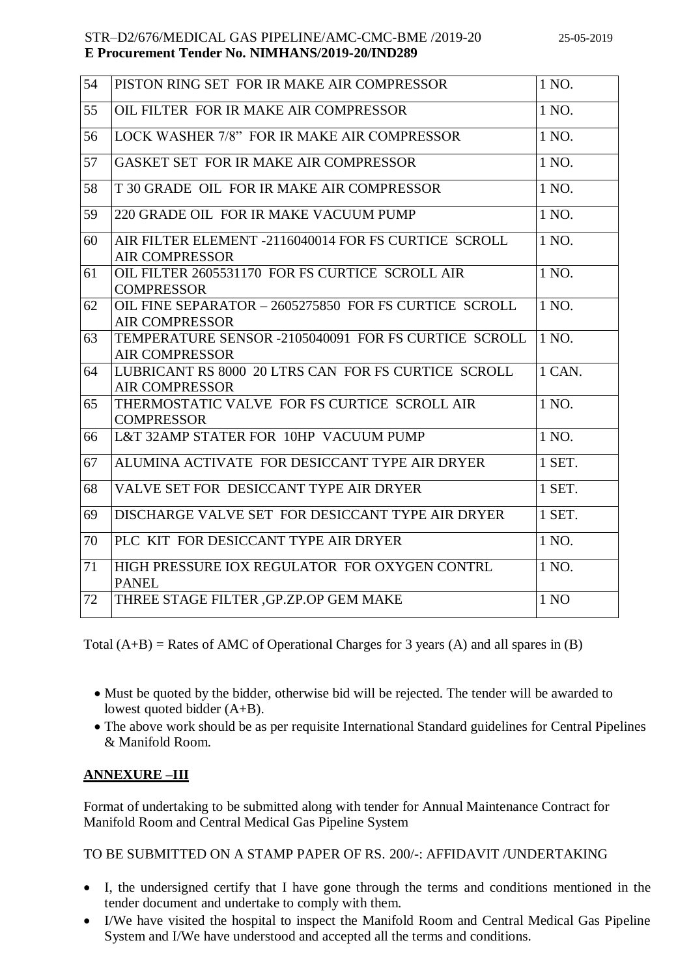| 54 | PISTON RING SET FOR IR MAKE AIR COMPRESSOR                                     | 1 NO.  |
|----|--------------------------------------------------------------------------------|--------|
| 55 | OIL FILTER FOR IR MAKE AIR COMPRESSOR                                          | 1 NO.  |
| 56 | LOCK WASHER 7/8" FOR IR MAKE AIR COMPRESSOR                                    | 1 NO.  |
| 57 | GASKET SET FOR IR MAKE AIR COMPRESSOR                                          | 1 NO.  |
| 58 | T 30 GRADE OIL FOR IR MAKE AIR COMPRESSOR                                      | 1 NO.  |
| 59 | 220 GRADE OIL FOR IR MAKE VACUUM PUMP                                          | 1 NO.  |
| 60 | AIR FILTER ELEMENT -2116040014 FOR FS CURTICE SCROLL<br><b>AIR COMPRESSOR</b>  | 1 NO.  |
| 61 | OIL FILTER 2605531170 FOR FS CURTICE SCROLL AIR<br><b>COMPRESSOR</b>           | 1 NO.  |
| 62 | OIL FINE SEPARATOR - 2605275850 FOR FS CURTICE SCROLL<br><b>AIR COMPRESSOR</b> | 1 NO.  |
| 63 | TEMPERATURE SENSOR -2105040091 FOR FS CURTICE SCROLL<br><b>AIR COMPRESSOR</b>  | 1 NO.  |
| 64 | LUBRICANT RS 8000 20 LTRS CAN FOR FS CURTICE SCROLL<br><b>AIR COMPRESSOR</b>   | 1 CAN. |
| 65 | THERMOSTATIC VALVE FOR FS CURTICE SCROLL AIR<br><b>COMPRESSOR</b>              | 1 NO.  |
| 66 | L&T 32AMP STATER FOR 10HP VACUUM PUMP                                          | 1 NO.  |
| 67 | ALUMINA ACTIVATE FOR DESICCANT TYPE AIR DRYER                                  | 1 SET. |
| 68 | VALVE SET FOR DESICCANT TYPE AIR DRYER                                         | 1 SET. |
| 69 | DISCHARGE VALVE SET FOR DESICCANT TYPE AIR DRYER                               | 1 SET. |
| 70 | PLC KIT FOR DESICCANT TYPE AIR DRYER                                           | 1 NO.  |
| 71 | HIGH PRESSURE IOX REGULATOR FOR OXYGEN CONTRL<br><b>PANEL</b>                  | 1 NO.  |
| 72 | THREE STAGE FILTER , GP.ZP.OP GEM MAKE                                         | 1 NO   |
|    |                                                                                |        |

Total  $(A+B)$  = Rates of AMC of Operational Charges for 3 years (A) and all spares in (B)

- Must be quoted by the bidder, otherwise bid will be rejected. The tender will be awarded to lowest quoted bidder (A+B).
- The above work should be as per requisite International Standard guidelines for Central Pipelines & Manifold Room.

# **ANNEXURE –III**

Format of undertaking to be submitted along with tender for Annual Maintenance Contract for Manifold Room and Central Medical Gas Pipeline System

TO BE SUBMITTED ON A STAMP PAPER OF RS. 200/-: AFFIDAVIT /UNDERTAKING

- I, the undersigned certify that I have gone through the terms and conditions mentioned in the tender document and undertake to comply with them.
- I/We have visited the hospital to inspect the Manifold Room and Central Medical Gas Pipeline System and I/We have understood and accepted all the terms and conditions.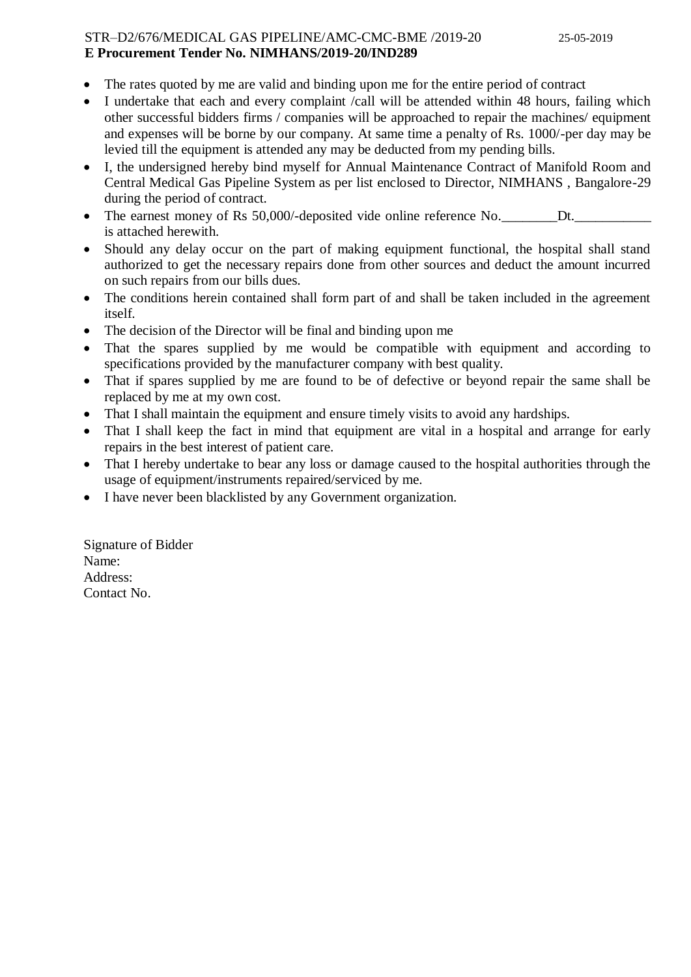- The rates quoted by me are valid and binding upon me for the entire period of contract
- I undertake that each and every complaint /call will be attended within 48 hours, failing which other successful bidders firms / companies will be approached to repair the machines/ equipment and expenses will be borne by our company. At same time a penalty of Rs. 1000/-per day may be levied till the equipment is attended any may be deducted from my pending bills.
- I, the undersigned hereby bind myself for Annual Maintenance Contract of Manifold Room and Central Medical Gas Pipeline System as per list enclosed to Director, NIMHANS , Bangalore-29 during the period of contract.
- The earnest money of Rs 50,000/-deposited vide online reference No. Dt. is attached herewith.
- Should any delay occur on the part of making equipment functional, the hospital shall stand authorized to get the necessary repairs done from other sources and deduct the amount incurred on such repairs from our bills dues.
- The conditions herein contained shall form part of and shall be taken included in the agreement itself.
- The decision of the Director will be final and binding upon me
- That the spares supplied by me would be compatible with equipment and according to specifications provided by the manufacturer company with best quality.
- That if spares supplied by me are found to be of defective or beyond repair the same shall be replaced by me at my own cost.
- That I shall maintain the equipment and ensure timely visits to avoid any hardships.
- That I shall keep the fact in mind that equipment are vital in a hospital and arrange for early repairs in the best interest of patient care.
- That I hereby undertake to bear any loss or damage caused to the hospital authorities through the usage of equipment/instruments repaired/serviced by me.
- I have never been blacklisted by any Government organization.

Signature of Bidder Name: Address: Contact No.